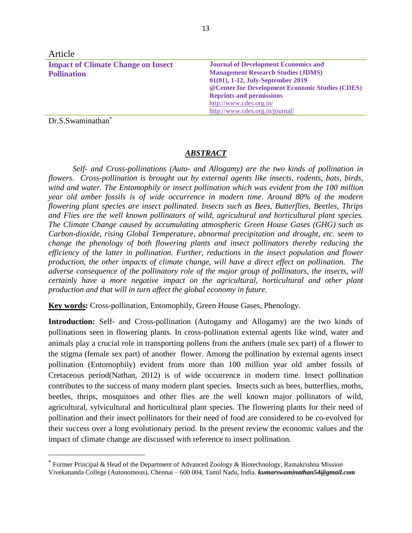| Article                                                                                  |  |
|------------------------------------------------------------------------------------------|--|
| <b>Impact of Climate Change on Insect</b><br><b>Journal of Development Economics and</b> |  |
| <b>Management Research Studies (JDMS)</b><br><b>Pollination</b>                          |  |
| 01(01), 1-12, July-September 2019                                                        |  |
| @ Center for Development Economic Studies (CDES)                                         |  |
| <b>Reprints and permissions</b>                                                          |  |
| http://www.cdes.org.in/                                                                  |  |
| http://www.cdes.org.in/journal/                                                          |  |

Dr.S.Swaminathan

 $\overline{\phantom{a}}$ 

## *ABSTRACT*

*Self- and Cross-pollinations (Auto- and Allogamy) are the two kinds of pollination in flowers. Cross-pollination is brought out by external agents like insects, rodents, bats, birds, wind and water. The Entomophily or insect pollination which was evident from the 100 million year old amber fossils is of wide occurrence in modern time. Around 80% of the modern flowering plant species are insect pollinated. Insects such as Bees, Butterflies, Beetles, Thrips and Flies are the well known pollinators of wild, agricultural and horticultural plant species. The Climate Change caused by accumulating atmospheric Green House Gases (GHG) such as Carbon-dioxide, rising Global Temperature, abnormal precipitation and drought, etc. seem to change the phenology of both flowering plants and insect pollinators thereby reducing the efficiency of the latter in pollination. Further, reductions in the insect population and flower production, the other impacts of climate change, will have a direct effect on pollination. The adverse consequence of the pollinatory role of the major group of pollinators, the insects, will certainly have a more negative impact on the agricultural, horticultural and other plant production and that will in turn affect the global economy in future.* 

**Key words:** Cross-pollination, Entomophily, Green House Gases, Phenology.

**Introduction:** Self- and Cross-pollination (Autogamy and Allogamy) are the two kinds of pollinations seen in flowering plants. In cross-pollination external agents like wind, water and animals play a crucial role in transporting pollens from the anthers (male sex part) of a flower to the stigma (female sex part) of another flower. Among the pollination by external agents insect pollination (Entomophily) evident from more than 100 million year old amber fossils of Cretaceous period(Nathan, 2012) is of wide occurrence in modern time. Insect pollination contributes to the success of many modern plant species. Insects such as bees, butterflies, moths, beetles, thrips, mosquitoes and other flies are the well known major pollinators of wild, agricultural, sylvicultural and horticultural plant species. The flowering plants for their need of pollination and their insect pollinators for their need of food are considered to be co-evolved for their success over a long evolutionary period. In the present review the economic values and the impact of climate change are discussed with reference to insect pollination.

Former Principal & Head of the Department of Advanced Zoology & Biotechnology, Ramakrishna Mission Vivekananda College (Autonomous), Chennai – 600 004, Tamil Nadu, India. *kumarswaminathan54@gmail.com*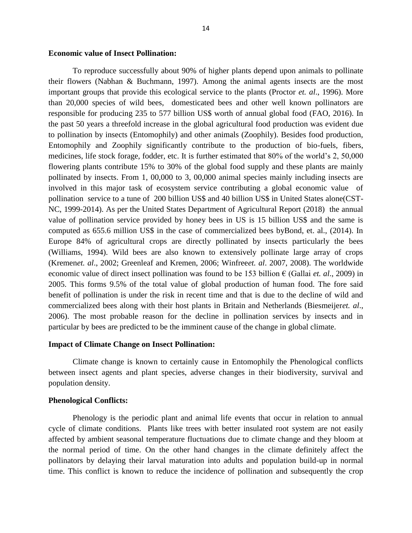## **Economic value of Insect Pollination:**

To reproduce successfully about 90% of higher plants depend upon animals to pollinate their flowers (Nabhan & Buchmann, 1997). Among the animal agents insects are the most important groups that provide this ecological service to the plants (Proctor *et. al*., 1996). More than 20,000 species of wild bees, domesticated bees and other well known pollinators are responsible for producing 235 to 577 billion US\$ worth of annual global food (FAO, 2016). In the past 50 years a threefold increase in the global agricultural food production was evident due to pollination by insects (Entomophily) and other animals (Zoophily). Besides food production, Entomophily and Zoophily significantly contribute to the production of bio-fuels, fibers, medicines, life stock forage, fodder, etc. It is further estimated that 80% of the world's 2, 50,000 flowering plants contribute 15% to 30% of the global food supply and these plants are mainly pollinated by insects. From 1, 00,000 to 3, 00,000 animal species mainly including insects are involved in this major task of ecosystem service contributing a global economic value of pollination service to a tune of 200 billion US\$ and 40 billion US\$ in United States alone(CST-NC, 1999-2014). As per the United States Department of Agricultural Report (2018) the annual value of pollination service provided by honey bees in US is 15 billion US\$ and the same is computed as 655.6 million US\$ in the case of commercialized bees byBond, et. al., (2014). In Europe 84% of agricultural crops are directly pollinated by insects particularly the bees (Williams, 1994). Wild bees are also known to extensively pollinate large array of crops (Kremen*et. al*., 2002; Greenleaf and Kremen, 2006; Winfree*et. al*. 2007, 2008). The worldwide economic value of direct insect pollination was found to be 153 billion € (Gallai *et. al*., 2009) in 2005. This forms 9.5% of the total value of global production of human food. The fore said benefit of pollination is under the risk in recent time and that is due to the decline of wild and commercialized bees along with their host plants in Britain and Netherlands (Biesmeijer*et. al*., 2006). The most probable reason for the decline in pollination services by insects and in particular by bees are predicted to be the imminent cause of the change in global climate.

## **Impact of Climate Change on Insect Pollination:**

Climate change is known to certainly cause in Entomophily the Phenological conflicts between insect agents and plant species, adverse changes in their biodiversity, survival and population density.

#### **Phenological Conflicts:**

Phenology is the periodic plant and animal life events that occur in relation to annual cycle of climate conditions. Plants like trees with better insulated root system are not easily affected by ambient seasonal temperature fluctuations due to climate change and they bloom at the normal period of time. On the other hand changes in the climate definitely affect the pollinators by delaying their larval maturation into adults and population build-up in normal time. This conflict is known to reduce the incidence of pollination and subsequently the crop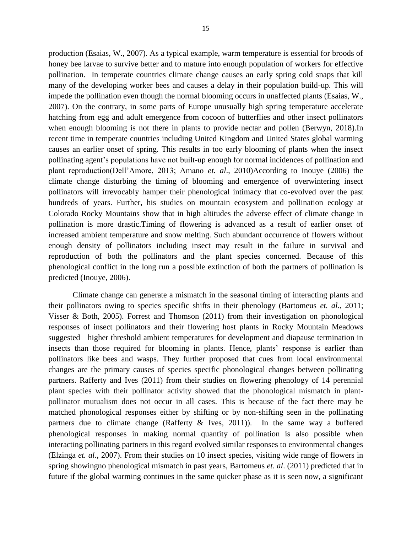production (Esaias, W., 2007). As a typical example, warm temperature is essential for broods of honey bee larvae to survive better and to mature into enough population of workers for effective pollination. In temperate countries climate change causes an early spring cold snaps that kill many of the developing worker bees and causes a delay in their population build-up. This will impede the pollination even though the normal blooming occurs in unaffected plants (Esaias, W., 2007). On the contrary, in some parts of Europe unusually high spring temperature accelerate hatching from egg and adult emergence from cocoon of butterflies and other insect pollinators when enough blooming is not there in plants to provide nectar and pollen (Berwyn, 2018).In recent time in temperate countries including United Kingdom and United States global warming causes an earlier onset of spring. This results in too early blooming of plants when the insect pollinating agent's populations have not built-up enough for normal incidences of pollination and plant reproduction(Dell'Amore, 2013; Amano *et. al*., 2010)According to Inouye (2006) the climate change disturbing the timing of blooming and emergence of overwintering insect pollinators will irrevocably hamper their phenological intimacy that co-evolved over the past hundreds of years. Further, his studies on mountain ecosystem and pollination ecology at Colorado Rocky Mountains show that in high altitudes the adverse effect of climate change in pollination is more drastic.Timing of flowering is advanced as a result of earlier onset of increased ambient temperature and snow melting. Such abundant occurrence of flowers without enough density of pollinators including insect may result in the failure in survival and reproduction of both the pollinators and the plant species concerned. Because of this phenological conflict in the long run a possible extinction of both the partners of pollination is predicted (Inouye, 2006).

Climate change can generate a mismatch in the seasonal timing of interacting plants and their pollinators owing to species specific shifts in their phenology (Bartomeus *et. al*., 2011; Visser & Both, 2005). Forrest and Thomson (2011) from their investigation on phonological responses of insect pollinators and their flowering host plants in Rocky Mountain Meadows suggested higher threshold ambient temperatures for development and diapause termination in insects than those required for blooming in plants. Hence, plants' response is earlier than pollinators like bees and wasps. They further proposed that cues from local environmental changes are the primary causes of species specific phonological changes between pollinating partners. Rafferty and Ives (2011) from their studies on flowering phenology of 14 perennial plant species with their pollinator activity showed that the phonological mismatch in plantpollinator mutualism does not occur in all cases. This is because of the fact there may be matched phonological responses either by shifting or by non-shifting seen in the pollinating partners due to climate change (Rafferty & Ives, 2011)). In the same way a buffered phenological responses in making normal quantity of pollination is also possible when interacting pollinating partners in this regard evolved similar responses to environmental changes (Elzinga *et. al*., 2007). From their studies on 10 insect species, visiting wide range of flowers in spring showingno phenological mismatch in past years, Bartomeus *et. al*. (2011) predicted that in future if the global warming continues in the same quicker phase as it is seen now, a significant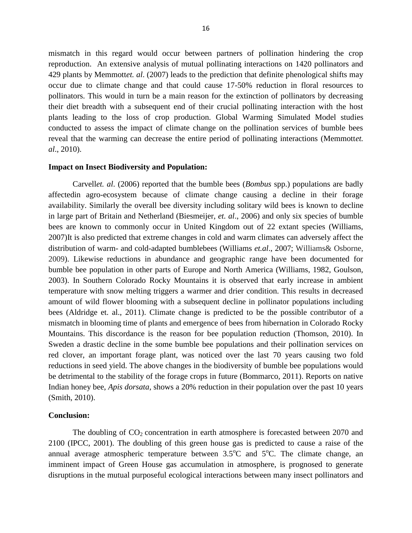mismatch in this regard would occur between partners of pollination hindering the crop reproduction. An extensive analysis of mutual pollinating interactions on 1420 pollinators and 429 plants by Memmott*et. al*. (2007) leads to the prediction that definite phenological shifts may occur due to climate change and that could cause 17-50% reduction in floral resources to pollinators. This would in turn be a main reason for the extinction of pollinators by decreasing their diet breadth with a subsequent end of their crucial pollinating interaction with the host plants leading to the loss of crop production. Global Warming Simulated Model studies conducted to assess the impact of climate change on the pollination services of bumble bees reveal that the warming can decrease the entire period of pollinating interactions (Memmott*et. al*., 2010).

### **Impact on Insect Biodiversity and Population:**

Carvell*et. al*. (2006) reported that the bumble bees (*Bombus* spp.) populations are badly affectedin agro-ecosystem because of climate change causing a decline in their forage availability. Similarly the overall bee diversity including solitary wild bees is known to decline in large part of Britain and Netherland (Biesmeijer, *et. al*., 2006) and only six species of bumble bees are known to commonly occur in United Kingdom out of 22 extant species (Williams, 2007)It is also predicted that extreme changes in cold and warm climates can adversely affect the distribution of warm- and cold-adapted bumblebees (Williams *et.al*., 2007; Williams& Osborne, 2009). Likewise reductions in abundance and geographic range have been documented for bumble bee population in other parts of Europe and North America (Williams, 1982, Goulson, 2003). In Southern Colorado Rocky Mountains it is observed that early increase in ambient temperature with snow melting triggers a warmer and drier condition. This results in decreased amount of wild flower blooming with a subsequent decline in pollinator populations including bees (Aldridge et. al., 2011). Climate change is predicted to be the possible contributor of a mismatch in blooming time of plants and emergence of bees from hibernation in Colorado Rocky Mountains. This discordance is the reason for bee population reduction (Thomson, 2010). In Sweden a drastic decline in the some bumble bee populations and their pollination services on red clover, an important forage plant, was noticed over the last 70 years causing two fold reductions in seed yield. The above changes in the biodiversity of bumble bee populations would be detrimental to the stability of the forage crops in future (Bommarco, 2011). Reports on native Indian honey bee, *Apis dorsata*, shows a 20% reduction in their population over the past 10 years (Smith, 2010).

## **Conclusion:**

The doubling of  $CO_2$  concentration in earth atmosphere is forecasted between 2070 and 2100 (IPCC, 2001). The doubling of this green house gas is predicted to cause a raise of the annual average atmospheric temperature between  $3.5^{\circ}$ C and  $5^{\circ}$ C. The climate change, an imminent impact of Green House gas accumulation in atmosphere, is prognosed to generate disruptions in the mutual purposeful ecological interactions between many insect pollinators and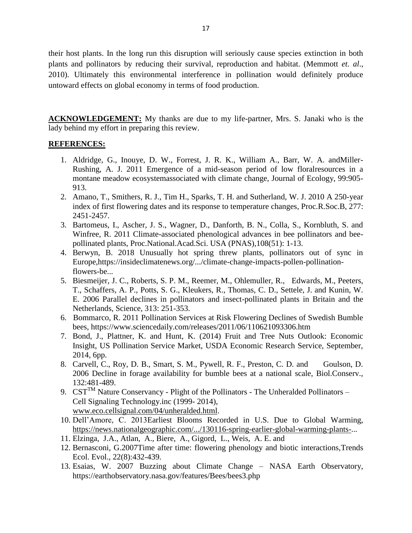their host plants. In the long run this disruption will seriously cause species extinction in both plants and pollinators by reducing their survival, reproduction and habitat. (Memmott *et. al*., 2010). Ultimately this environmental interference in pollination would definitely produce untoward effects on global economy in terms of food production.

**ACKNOWLEDGEMENT:** My thanks are due to my life-partner, Mrs. S. Janaki who is the lady behind my effort in preparing this review.

# **REFERENCES:**

- 1. Aldridge, G., Inouye, D. W., Forrest, J. R. K., William A., Barr, W. A. andMiller-Rushing, A. J. 2011 Emergence of a mid-season period of low floralresources in a montane meadow ecosystemassociated with climate change, Journal of Ecology, 99:905- 913.
- 2. Amano, [T., Smithers,](https://royalsocietypublishing.org/doi/full/10.1098/rspb.2010.0291) R. J., [Tim H., Sparks,](https://royalsocietypublishing.org/doi/full/10.1098/rspb.2010.0291) T. H. and [Sutherland,](https://royalsocietypublishing.org/doi/full/10.1098/rspb.2010.0291) W. J. 2010 [A 250-year](https://royalsocietypublishing.org/doi/full/10.1098/rspb.2010.0291)  [index of first flowering dates and its response to temperature changes,](https://royalsocietypublishing.org/doi/full/10.1098/rspb.2010.0291) Proc.R.Soc.B, 277: 2451-2457.
- 3. Bartomeus, I., Ascher, J. S., Wagner, D., Danforth, B. N., Colla, S., Kornbluth, S. and Winfree, R. 2011 Climate-associated phenological advances in bee pollinators and beepollinated plants, Proc.National.Acad.Sci. USA (PNAS),108(51): 1-13.
- 4. Berwyn, B. 2018 Unusually hot spring threw plants, pollinators out of sync in Europe,https://insideclimatenews.org/.../climate-change-impacts-pollen-pollinationflowers-be...
- 5. Biesmeijer, J. C., Roberts, S. P. M., Reemer, M., Ohlemuller, R., Edwards, M., Peeters, T., Schaffers, A. P., Potts, S. G., Kleukers, R., Thomas, C. D., Settele, J. and Kunin, W. E. 2006 Parallel declines in pollinators and insect-pollinated plants in Britain and the Netherlands, Science, 313: 251-353.
- 6. Bommarco, R. 2011 Pollination Services at Risk Flowering Declines of Swedish Bumble bees, https://www.sciencedaily.com/releases/2011/06/110621093306.ht[m](https://www.sciencedaily.com/releases/2011/06/110621093306.htm)
- 7. Bond, J., Plattner, K. and Hunt, K. (2014) Fruit and Tree Nuts Outlook: Economic Insight, US Pollination Service Market, USDA Economic Research Service, September, 2014, 6pp.
- 8. Carvell, C., Roy, D. B., Smart, S. M., Pywell, R. F., Preston, C. D. and Goulson, D. 2006 Decline in forage availability for bumble bees at a national scale, Biol.Conserv., 132:481-489.
- 9.  $CST^{TM}$  Nature Conservancy Plight of the Pollinators The Unheralded Pollinators Cell Signaling Technology.inc (1999- 2014), [www.eco.cellsignal.com/04/unheralded.html.](http://www.eco.cellsignal.com/04/unheralded.html)
- 10. Dell'Amore, C. 2013Earliest Blooms Recorded in U.S. Due to Global Warming, [https://news.nationalgeographic.com/.../130116-spring-earlier-global-warming-plants-.](https://news.nationalgeographic.com/.../130116-spring-earlier-global-warming-plants-)..
- 11. [Elzinga, J.A.](https://www.ncbi.nlm.nih.gov/pubmed/?term=Elzinga%20JA%5BAuthor%5D&cauthor=true&cauthor_uid=17573151), [Atlan, A.](https://www.ncbi.nlm.nih.gov/pubmed/?term=Atlan%20A%5BAuthor%5D&cauthor=true&cauthor_uid=17573151), [Biere, A.](https://www.ncbi.nlm.nih.gov/pubmed/?term=Biere%20A%5BAuthor%5D&cauthor=true&cauthor_uid=17573151), [Gigord, L.](https://www.ncbi.nlm.nih.gov/pubmed/?term=Gigord%20L%5BAuthor%5D&cauthor=true&cauthor_uid=17573151), [Weis, A. E.](https://www.ncbi.nlm.nih.gov/pubmed/?term=Weis%20AE%5BAuthor%5D&cauthor=true&cauthor_uid=17573151) and
- 12. [Bernasconi, G.](https://www.ncbi.nlm.nih.gov/pubmed/?term=Bernasconi%20G%5BAuthor%5D&cauthor=true&cauthor_uid=17573151)2007Time after time: flowering phenology and biotic interactions[,Trends](https://www.ncbi.nlm.nih.gov/pubmed/17573151)  [Ecol. Evol.,](https://www.ncbi.nlm.nih.gov/pubmed/17573151) 22(8):432-439.
- 13. Esaias, W. 2007 Buzzing about Climate Change NASA Earth Observatory, https://earthobservatory.nasa.gov/features/Bees/bees3.php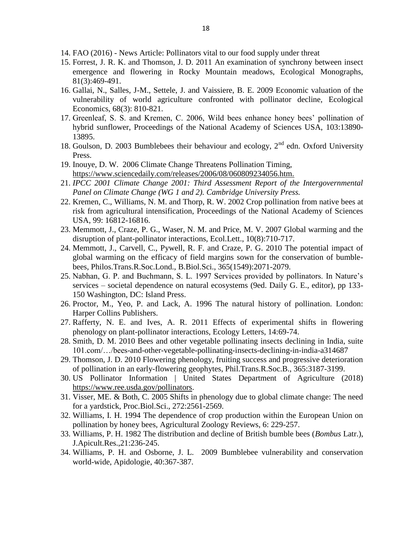- 14. FAO (2016) News Article: Pollinators vital to our food supply under threat
- 15. Forrest, J. R. K. and Thomson, J. D. 2011 An examination of synchrony between insect emergence and flowering in Rocky Mountain meadows, Ecological Monographs, 81(3):469-491.
- 16. Gallai, N., Salles, J-M., Settele, J. and Vaissiere, B. E. 2009 Economic valuation of the vulnerability of world agriculture confronted with pollinator decline, Ecological Economics, 68(3): 810-821.
- 17. Greenleaf, S. S. and Kremen, C. 2006, Wild bees enhance honey bees' pollination of hybrid sunflower, Proceedings of the National Academy of Sciences USA, 103:13890- 13895.
- 18. Goulson, D. 2003 Bumblebees their behaviour and ecology,  $2<sup>nd</sup>$  edn. Oxford University Press.
- 19. Inouye, D. W. 2006 Climate Change Threatens Pollination Timing, <https://www.sciencedaily.com/releases/2006/08/060809234056.htm.>
- 21. *IPCC 2001 Climate Change 2001: Third Assessment Report of the Intergovernmental Panel on Climate Change (WG 1 and 2). Cambridge University Press.*
- 22. Kremen, C., Williams, N. M. and Thorp, R. W. 2002 Crop pollination from native bees at risk from agricultural intensification, Proceedings of the National Academy of Sciences USA, 99: 16812-16816.
- 23. Memmott, J., Craze, P. G., Waser, N. M. and Price, M. V. 2007 Global warming and the disruption of plant-pollinator interactions, Ecol.Lett., 10(8):710-717.
- 24. Memmott, J., Carvell, C., Pywell, R. F. and Craze, P. G. 2010 The potential impact of global warming on the efficacy of field margins sown for the conservation of bumblebees, Philos.Trans.R.Soc.Lond., B.Biol.Sci., 365(1549):2071-2079.
- 25. Nabhan, G. P. and Buchmann, S. L. 1997 Services provided by pollinators. In Nature's services – societal dependence on natural ecosystems (9ed. Daily G. E., editor), pp 133- 150 Washington, DC: Island Press.
- 26. Proctor, M., Yeo, P. and Lack, A. 1996 The natural history of pollination. London: Harper Collins Publishers.
- 27. Rafferty, N. E. and Ives, A. R. 2011 Effects of experimental shifts in flowering phenology on plant-pollinator interactions, Ecology Letters, 14:69-74.
- 28. Smith, D. M. 2010 Bees and other vegetable pollinating insects declining in India, suite 101.com/…/bees-and-other-vegetable-pollinating-insects-declining-in-india-a314687
- 29. Thomson, J. D. 2010 Flowering phenology, fruiting success and progressive deterioration of pollination in an early-flowering geophytes, Phil.Trans.R.Soc.B., 365:3187-3199.
- 30. US Pollinator Information | United States Department of Agriculture (2018) [https://www.ree.usda.gov/pollinators.](https://www.ree.usda.gov/pollinators)
- 31. Visser, ME. & Both, C. 2005 Shifts in phenology due to global climate change: The need for a yardstick, Proc.Biol.Sci., 272:2561-2569.
- 32. Williams, I. H. 1994 The dependence of crop production within the European Union on pollination by honey bees, Agricultural Zoology Reviews, 6: 229-257.
- 33. Williams, P. H. 1982 The distribution and decline of British bumble bees (*Bombus* Latr.), J.Apicult.Res.,21:236-245.
- 34. Williams, P. H. and Osborne, J. L. 2009 Bumblebee vulnerability and conservation world-wide, Apidologie, 40:367-387.